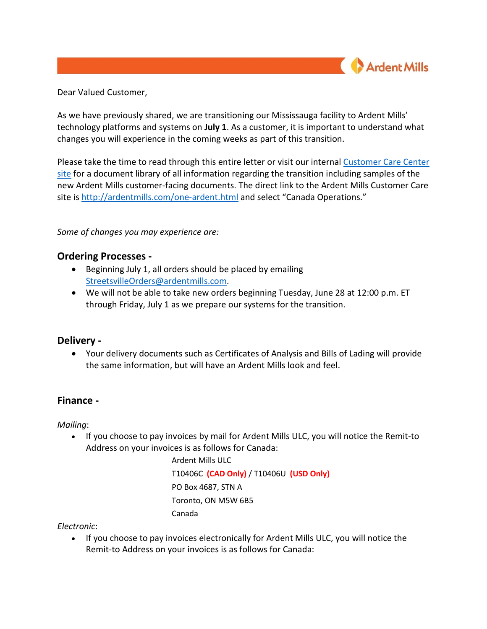

Dear Valued Customer,

As we have previously shared, we are transitioning our Mississauga facility to Ardent Mills' technology platforms and systems on **July 1**. As a customer, it is important to understand what changes you will experience in the coming weeks as part of this transition.

Please take the time to read through this entire letter or visit our internal [Customer Care Center](http://ardentmills.com/one-ardent.html)  [site](http://ardentmills.com/one-ardent.html) for a document library of all information regarding the transition including samples of the new Ardent Mills customer-facing documents. The direct link to the Ardent Mills Customer Care site is<http://ardentmills.com/one-ardent.html> and select "Canada Operations."

*Some of changes you may experience are:* 

# **Ordering Processes -**

- Beginning July 1, all orders should be placed by emailing [StreetsvilleOrders@ardentmills.com.](mailto:StreetsvilleOrders@ardentmills.com)
- We will not be able to take new orders beginning Tuesday, June 28 at 12:00 p.m. ET through Friday, July 1 as we prepare our systems for the transition.

## **Delivery -**

• Your delivery documents such as Certificates of Analysis and Bills of Lading will provide the same information, but will have an Ardent Mills look and feel.

## **Finance -**

*Mailing*:

• If you choose to pay invoices by mail for Ardent Mills ULC, you will notice the Remit-to Address on your invoices is as follows for Canada:

> Ardent Mills ULC T10406C **(CAD Only)** / T10406U **(USD Only)** PO Box 4687, STN A Toronto, ON M5W 6B5 Canada

*Electronic*:

• If you choose to pay invoices electronically for Ardent Mills ULC, you will notice the Remit-to Address on your invoices is as follows for Canada: